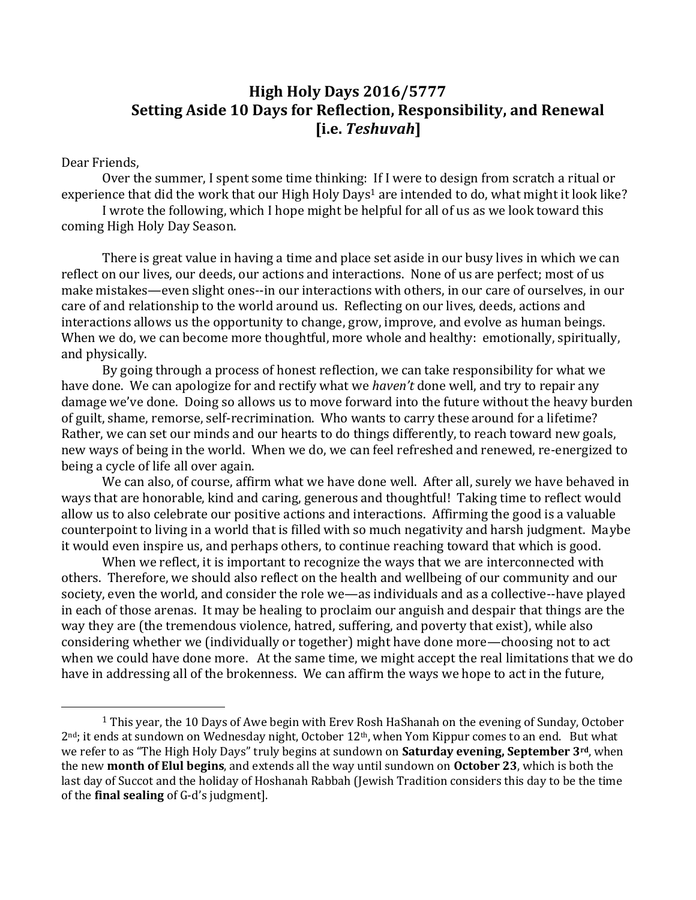# **High Holy Days 2016/5777 Setting Aside 10 Days for Reflection, Responsibility, and Renewal [i.e.** *Teshuvah***]**

#### Dear Friends,

 $\overline{a}$ 

Over the summer, I spent some time thinking: If I were to design from scratch a ritual or experience that did the work that our High Holy Days<sup>1</sup> are intended to do, what might it look like?

I wrote the following, which I hope might be helpful for all of us as we look toward this coming High Holy Day Season.

There is great value in having a time and place set aside in our busy lives in which we can reflect on our lives, our deeds, our actions and interactions. None of us are perfect; most of us make mistakes—even slight ones--in our interactions with others, in our care of ourselves, in our care of and relationship to the world around us. Reflecting on our lives, deeds, actions and interactions allows us the opportunity to change, grow, improve, and evolve as human beings. When we do, we can become more thoughtful, more whole and healthy: emotionally, spiritually, and physically.

By going through a process of honest reflection, we can take responsibility for what we have done. We can apologize for and rectify what we *haven't* done well, and try to repair any damage we've done. Doing so allows us to move forward into the future without the heavy burden of guilt, shame, remorse, self-recrimination. Who wants to carry these around for a lifetime? Rather, we can set our minds and our hearts to do things differently, to reach toward new goals, new ways of being in the world. When we do, we can feel refreshed and renewed, re-energized to being a cycle of life all over again.

We can also, of course, affirm what we have done well. After all, surely we have behaved in ways that are honorable, kind and caring, generous and thoughtful! Taking time to reflect would allow us to also celebrate our positive actions and interactions. Affirming the good is a valuable counterpoint to living in a world that is filled with so much negativity and harsh judgment. Maybe it would even inspire us, and perhaps others, to continue reaching toward that which is good.

When we reflect, it is important to recognize the ways that we are interconnected with others. Therefore, we should also reflect on the health and wellbeing of our community and our society, even the world, and consider the role we—as individuals and as a collective--have played in each of those arenas. It may be healing to proclaim our anguish and despair that things are the way they are (the tremendous violence, hatred, suffering, and poverty that exist), while also considering whether we (individually or together) might have done more—choosing not to act when we could have done more. At the same time, we might accept the real limitations that we do have in addressing all of the brokenness. We can affirm the ways we hope to act in the future,

<sup>&</sup>lt;sup>1</sup> This year, the 10 Days of Awe begin with Erev Rosh HaShanah on the evening of Sunday, October 2<sup>nd</sup>; it ends at sundown on Wednesday night, October 12<sup>th</sup>, when Yom Kippur comes to an end. But what we refer to as "The High Holy Days" truly begins at sundown on **Saturday evening, September 3rd**, when the new **month of Elul begins**, and extends all the way until sundown on **October 23**, which is both the last day of Succot and the holiday of Hoshanah Rabbah (Jewish Tradition considers this day to be the time of the **final sealing** of G-d's judgment].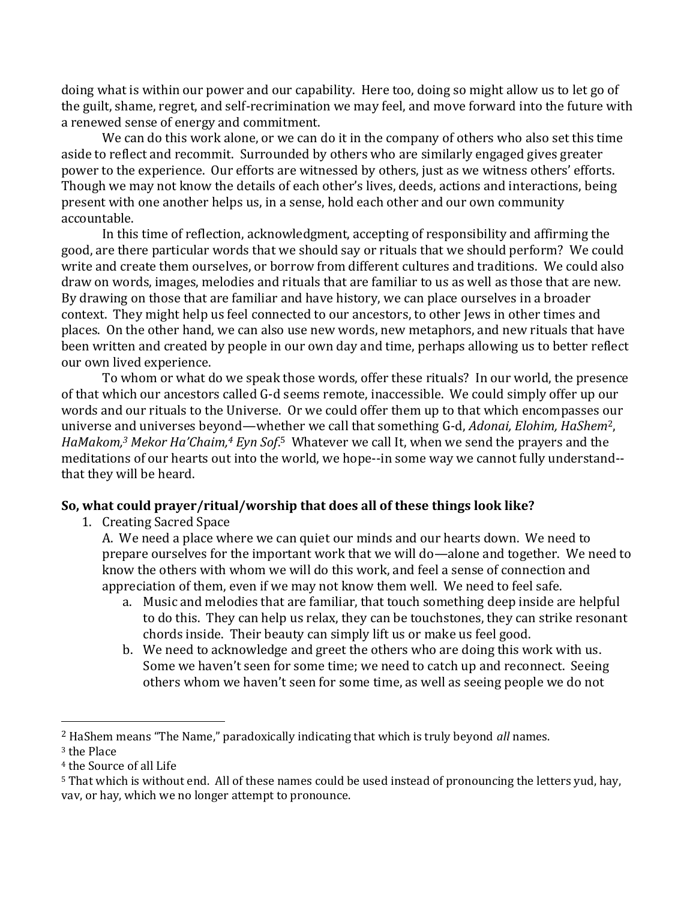doing what is within our power and our capability. Here too, doing so might allow us to let go of the guilt, shame, regret, and self-recrimination we may feel, and move forward into the future with a renewed sense of energy and commitment.

We can do this work alone, or we can do it in the company of others who also set this time aside to reflect and recommit. Surrounded by others who are similarly engaged gives greater power to the experience. Our efforts are witnessed by others, just as we witness others' efforts. Though we may not know the details of each other's lives, deeds, actions and interactions, being present with one another helps us, in a sense, hold each other and our own community accountable.

In this time of reflection, acknowledgment, accepting of responsibility and affirming the good, are there particular words that we should say or rituals that we should perform? We could write and create them ourselves, or borrow from different cultures and traditions. We could also draw on words, images, melodies and rituals that are familiar to us as well as those that are new. By drawing on those that are familiar and have history, we can place ourselves in a broader context. They might help us feel connected to our ancestors, to other Jews in other times and places. On the other hand, we can also use new words, new metaphors, and new rituals that have been written and created by people in our own day and time, perhaps allowing us to better reflect our own lived experience.

To whom or what do we speak those words, offer these rituals? In our world, the presence of that which our ancestors called G-d seems remote, inaccessible. We could simply offer up our words and our rituals to the Universe. Or we could offer them up to that which encompasses our universe and universes beyond—whether we call that something G-d, *Adonai, Elohim, HaShem*2, *HaMakom,<sup>3</sup> Mekor Ha'Chaim,<sup>4</sup> Eyn Sof*. <sup>5</sup> Whatever we call It, when we send the prayers and the meditations of our hearts out into the world, we hope--in some way we cannot fully understand- that they will be heard.

#### **So, what could prayer/ritual/worship that does all of these things look like?**

1. Creating Sacred Space

A. We need a place where we can quiet our minds and our hearts down. We need to prepare ourselves for the important work that we will do—alone and together. We need to know the others with whom we will do this work, and feel a sense of connection and appreciation of them, even if we may not know them well. We need to feel safe.

- a. Music and melodies that are familiar, that touch something deep inside are helpful to do this. They can help us relax, they can be touchstones, they can strike resonant chords inside. Their beauty can simply lift us or make us feel good.
- b. We need to acknowledge and greet the others who are doing this work with us. Some we haven't seen for some time; we need to catch up and reconnect. Seeing others whom we haven't seen for some time, as well as seeing people we do not

 $\overline{a}$ 

<sup>2</sup> HaShem means "The Name," paradoxically indicating that which is truly beyond *all* names.

<sup>3</sup> the Place

<sup>4</sup> the Source of all Life

<sup>&</sup>lt;sup>5</sup> That which is without end. All of these names could be used instead of pronouncing the letters yud, hay, vav, or hay, which we no longer attempt to pronounce.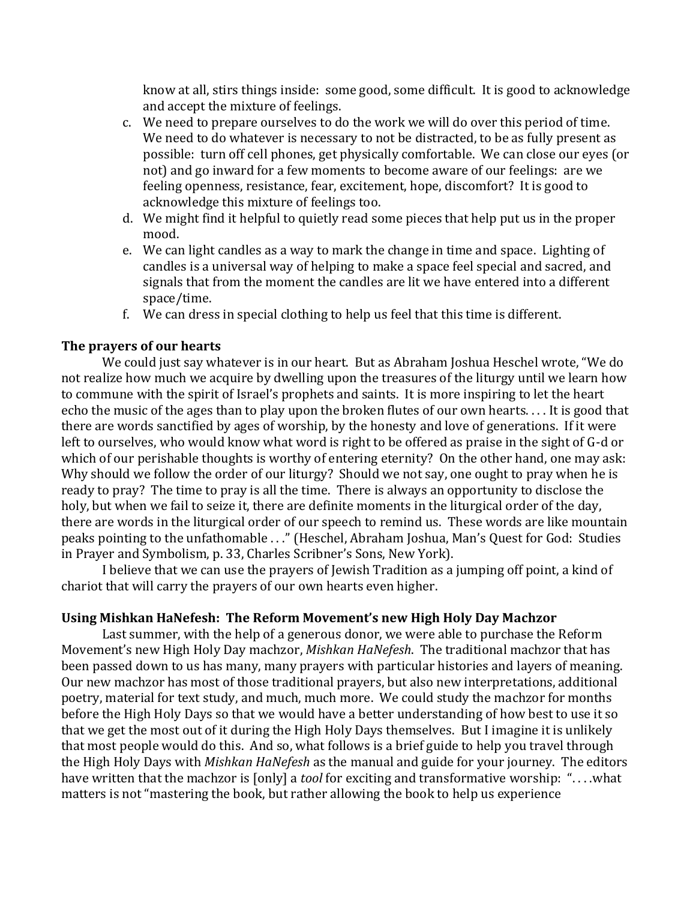know at all, stirs things inside: some good, some difficult. It is good to acknowledge and accept the mixture of feelings.

- c. We need to prepare ourselves to do the work we will do over this period of time. We need to do whatever is necessary to not be distracted, to be as fully present as possible: turn off cell phones, get physically comfortable. We can close our eyes (or not) and go inward for a few moments to become aware of our feelings: are we feeling openness, resistance, fear, excitement, hope, discomfort? It is good to acknowledge this mixture of feelings too.
- d. We might find it helpful to quietly read some pieces that help put us in the proper mood.
- e. We can light candles as a way to mark the change in time and space. Lighting of candles is a universal way of helping to make a space feel special and sacred, and signals that from the moment the candles are lit we have entered into a different space/time.
- f. We can dress in special clothing to help us feel that this time is different.

#### **The prayers of our hearts**

We could just say whatever is in our heart. But as Abraham Joshua Heschel wrote, "We do not realize how much we acquire by dwelling upon the treasures of the liturgy until we learn how to commune with the spirit of Israel's prophets and saints. It is more inspiring to let the heart echo the music of the ages than to play upon the broken flutes of our own hearts. . . . It is good that there are words sanctified by ages of worship, by the honesty and love of generations. If it were left to ourselves, who would know what word is right to be offered as praise in the sight of G-d or which of our perishable thoughts is worthy of entering eternity? On the other hand, one may ask: Why should we follow the order of our liturgy? Should we not say, one ought to pray when he is ready to pray? The time to pray is all the time. There is always an opportunity to disclose the holy, but when we fail to seize it, there are definite moments in the liturgical order of the day, there are words in the liturgical order of our speech to remind us. These words are like mountain peaks pointing to the unfathomable . . ." (Heschel, Abraham Joshua, Man's Quest for God: Studies in Prayer and Symbolism, p. 33, Charles Scribner's Sons, New York).

I believe that we can use the prayers of Jewish Tradition as a jumping off point, a kind of chariot that will carry the prayers of our own hearts even higher.

#### **Using Mishkan HaNefesh: The Reform Movement's new High Holy Day Machzor**

Last summer, with the help of a generous donor, we were able to purchase the Reform Movement's new High Holy Day machzor, *Mishkan HaNefesh*. The traditional machzor that has been passed down to us has many, many prayers with particular histories and layers of meaning. Our new machzor has most of those traditional prayers, but also new interpretations, additional poetry, material for text study, and much, much more. We could study the machzor for months before the High Holy Days so that we would have a better understanding of how best to use it so that we get the most out of it during the High Holy Days themselves. But I imagine it is unlikely that most people would do this. And so, what follows is a brief guide to help you travel through the High Holy Days with *Mishkan HaNefesh* as the manual and guide for your journey. The editors have written that the machzor is [only] a *tool* for exciting and transformative worship: ". . . .what matters is not "mastering the book, but rather allowing the book to help us experience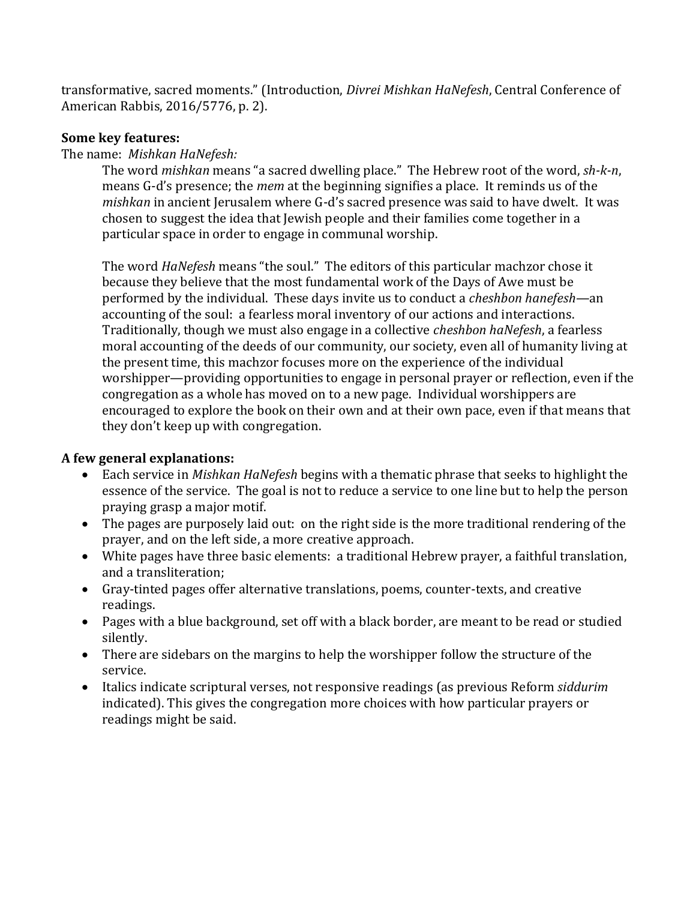transformative, sacred moments." (Introduction, *Divrei Mishkan HaNefesh*, Central Conference of American Rabbis, 2016/5776, p. 2).

#### **Some key features:**

The name: *Mishkan HaNefesh:*

The word *mishkan* means "a sacred dwelling place." The Hebrew root of the word, *sh-k-n*, means G-d's presence; the *mem* at the beginning signifies a place. It reminds us of the *mishkan* in ancient Jerusalem where G-d's sacred presence was said to have dwelt. It was chosen to suggest the idea that Jewish people and their families come together in a particular space in order to engage in communal worship.

The word *HaNefesh* means "the soul." The editors of this particular machzor chose it because they believe that the most fundamental work of the Days of Awe must be performed by the individual. These days invite us to conduct a *cheshbon hanefesh*—an accounting of the soul: a fearless moral inventory of our actions and interactions. Traditionally, though we must also engage in a collective *cheshbon haNefesh*, a fearless moral accounting of the deeds of our community, our society, even all of humanity living at the present time, this machzor focuses more on the experience of the individual worshipper—providing opportunities to engage in personal prayer or reflection, even if the congregation as a whole has moved on to a new page. Individual worshippers are encouraged to explore the book on their own and at their own pace, even if that means that they don't keep up with congregation.

## **A few general explanations:**

- Each service in *Mishkan HaNefesh* begins with a thematic phrase that seeks to highlight the essence of the service. The goal is not to reduce a service to one line but to help the person praying grasp a major motif.
- The pages are purposely laid out: on the right side is the more traditional rendering of the prayer, and on the left side, a more creative approach.
- White pages have three basic elements: a traditional Hebrew prayer, a faithful translation, and a transliteration;
- Gray-tinted pages offer alternative translations, poems, counter-texts, and creative readings.
- Pages with a blue background, set off with a black border, are meant to be read or studied silently.
- There are sidebars on the margins to help the worshipper follow the structure of the service.
- Italics indicate scriptural verses, not responsive readings (as previous Reform *siddurim*  indicated). This gives the congregation more choices with how particular prayers or readings might be said.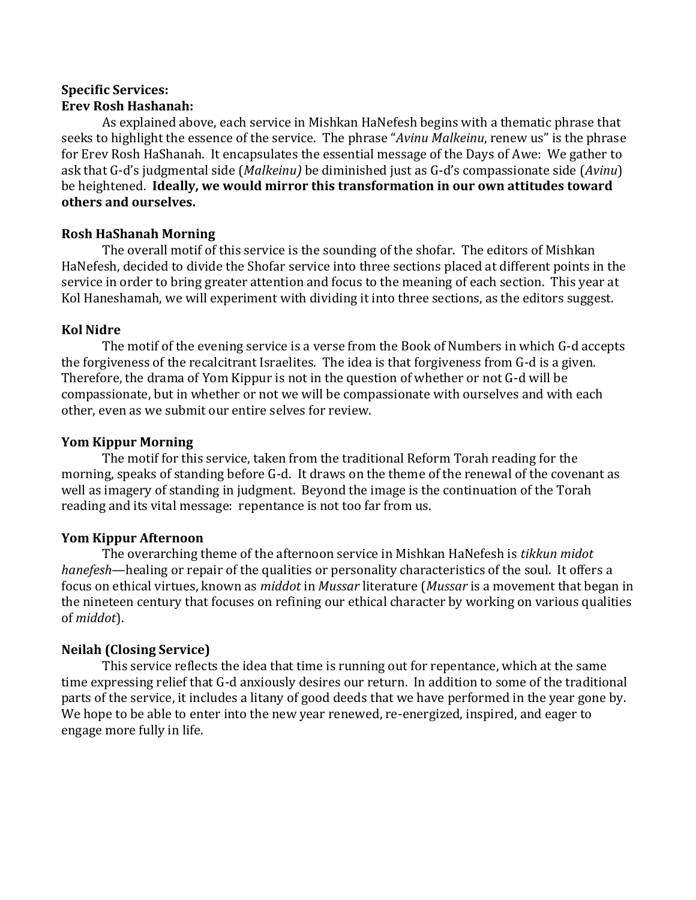## **Specific Services: Erev Rosh Hashanah:**

As explained above, each service in Mishkan HaNefesh begins with a thematic phrase that seeks to highlight the essence of the service. The phrase "*Avinu Malkeinu*, renew us" is the phrase for Erev Rosh HaShanah. It encapsulates the essential message of the Days of Awe: We gather to ask that G-d's judgmental side (*Malkeinu)* be diminished just as G-d's compassionate side (*Avinu*) be heightened. **Ideally, we would mirror this transformation in our own attitudes toward others and ourselves.**

## **Rosh HaShanah Morning**

The overall motif of this service is the sounding of the shofar. The editors of Mishkan HaNefesh, decided to divide the Shofar service into three sections placed at different points in the service in order to bring greater attention and focus to the meaning of each section. This year at Kol Haneshamah, we will experiment with dividing it into three sections, as the editors suggest.

#### **Kol Nidre**

The motif of the evening service is a verse from the Book of Numbers in which G-d accepts the forgiveness of the recalcitrant Israelites. The idea is that forgiveness from G-d is a given. Therefore, the drama of Yom Kippur is not in the question of whether or not G-d will be compassionate, but in whether or not we will be compassionate with ourselves and with each other, even as we submit our entire selves for review.

#### **Yom Kippur Morning**

The motif for this service, taken from the traditional Reform Torah reading for the morning, speaks of standing before G-d. It draws on the theme of the renewal of the covenant as well as imagery of standing in judgment. Beyond the image is the continuation of the Torah reading and its vital message: repentance is not too far from us.

## **Yom Kippur Afternoon**

The overarching theme of the afternoon service in Mishkan HaNefesh is *tikkun midot hanefesh*—healing or repair of the qualities or personality characteristics of the soul. It offers a focus on ethical virtues, known as *middot* in *Mussar* literature (*Mussar* is a movement that began in the nineteen century that focuses on refining our ethical character by working on various qualities of *middot*).

## **Neilah (Closing Service)**

This service reflects the idea that time is running out for repentance, which at the same time expressing relief that G-d anxiously desires our return. In addition to some of the traditional parts of the service, it includes a litany of good deeds that we have performed in the year gone by. We hope to be able to enter into the new year renewed, re-energized, inspired, and eager to engage more fully in life.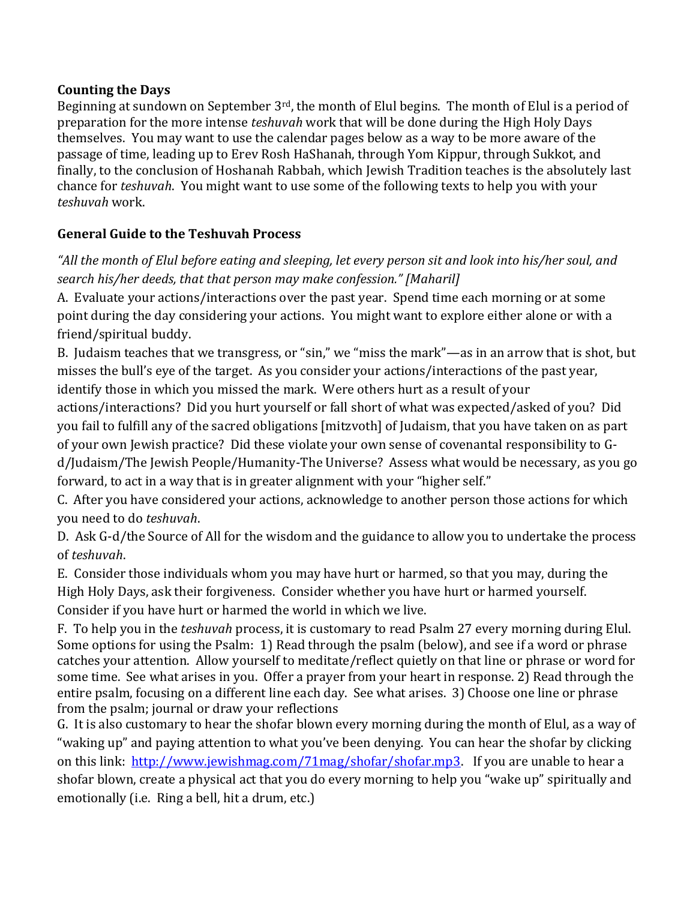## **Counting the Days**

Beginning at sundown on September 3<sup>rd</sup>, the month of Elul begins. The month of Elul is a period of preparation for the more intense *teshuvah* work that will be done during the High Holy Days themselves. You may want to use the calendar pages below as a way to be more aware of the passage of time, leading up to Erev Rosh HaShanah, through Yom Kippur, through Sukkot, and finally, to the conclusion of Hoshanah Rabbah, which Jewish Tradition teaches is the absolutely last chance for *teshuvah*. You might want to use some of the following texts to help you with your *teshuvah* work.

# **General Guide to the Teshuvah Process**

*"All the month of Elul before eating and sleeping, let every person sit and look into his/her soul, and search his/her deeds, that that person may make confession." [Maharil]*

A. Evaluate your actions/interactions over the past year. Spend time each morning or at some point during the day considering your actions. You might want to explore either alone or with a friend/spiritual buddy.

B. Judaism teaches that we transgress, or "sin," we "miss the mark"—as in an arrow that is shot, but misses the bull's eye of the target. As you consider your actions/interactions of the past year, identify those in which you missed the mark. Were others hurt as a result of your

actions/interactions? Did you hurt yourself or fall short of what was expected/asked of you? Did you fail to fulfill any of the sacred obligations [mitzvoth] of Judaism, that you have taken on as part of your own Jewish practice? Did these violate your own sense of covenantal responsibility to G-

d/Judaism/The Jewish People/Humanity-The Universe? Assess what would be necessary, as you go forward, to act in a way that is in greater alignment with your "higher self."

C. After you have considered your actions, acknowledge to another person those actions for which you need to do *teshuvah*.

D. Ask G-d/the Source of All for the wisdom and the guidance to allow you to undertake the process of *teshuvah*.

E. Consider those individuals whom you may have hurt or harmed, so that you may, during the High Holy Days, ask their forgiveness. Consider whether you have hurt or harmed yourself. Consider if you have hurt or harmed the world in which we live.

F. To help you in the *teshuvah* process, it is customary to read Psalm 27 every morning during Elul. Some options for using the Psalm: 1) Read through the psalm (below), and see if a word or phrase catches your attention. Allow yourself to meditate/reflect quietly on that line or phrase or word for some time. See what arises in you. Offer a prayer from your heart in response. 2) Read through the entire psalm, focusing on a different line each day. See what arises. 3) Choose one line or phrase from the psalm; journal or draw your reflections

G. It is also customary to hear the shofar blown every morning during the month of Elul, as a way of "waking up" and paying attention to what you've been denying. You can hear the shofar by clicking on this link: [http://www.jewishmag.com/71mag/shofar/shofar.mp3.](http://www.jewishmag.com/71mag/shofar/shofar.mp3) If you are unable to hear a shofar blown, create a physical act that you do every morning to help you "wake up" spiritually and emotionally (i.e. Ring a bell, hit a drum, etc.)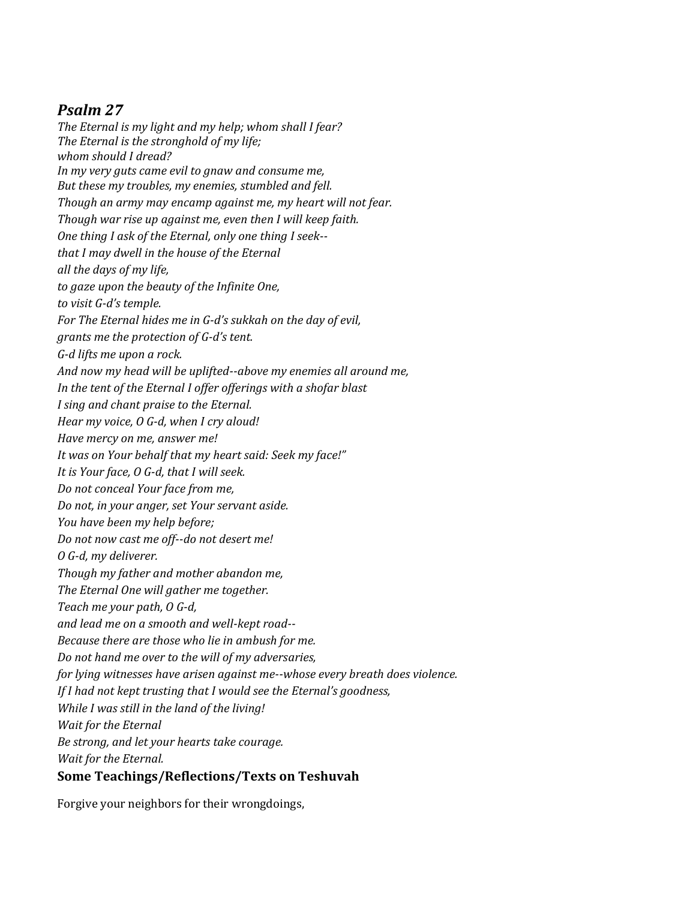# *Psalm 27*

*The Eternal is my light and my help; whom shall I fear? The Eternal is the stronghold of my life; whom should I dread? In my very guts came evil to gnaw and consume me, But these my troubles, my enemies, stumbled and fell. Though an army may encamp against me, my heart will not fear. Though war rise up against me, even then I will keep faith. One thing I ask of the Eternal, only one thing I seek- that I may dwell in the house of the Eternal all the days of my life, to gaze upon the beauty of the Infinite One, to visit G-d's temple. For The Eternal hides me in G-d's sukkah on the day of evil, grants me the protection of G-d's tent. G-d lifts me upon a rock. And now my head will be uplifted--above my enemies all around me, In the tent of the Eternal I offer offerings with a shofar blast I sing and chant praise to the Eternal. Hear my voice, O G-d, when I cry aloud! Have mercy on me, answer me! It was on Your behalf that my heart said: Seek my face!" It is Your face, O G-d, that I will seek. Do not conceal Your face from me, Do not, in your anger, set Your servant aside. You have been my help before; Do not now cast me off--do not desert me! O G-d, my deliverer. Though my father and mother abandon me, The Eternal One will gather me together. Teach me your path, O G-d, and lead me on a smooth and well-kept road-- Because there are those who lie in ambush for me. Do not hand me over to the will of my adversaries, for lying witnesses have arisen against me--whose every breath does violence. If I had not kept trusting that I would see the Eternal's goodness, While I was still in the land of the living! Wait for the Eternal Be strong, and let your hearts take courage. Wait for the Eternal.* **Some Teachings/Reflections/Texts on Teshuvah**

Forgive your neighbors for their wrongdoings,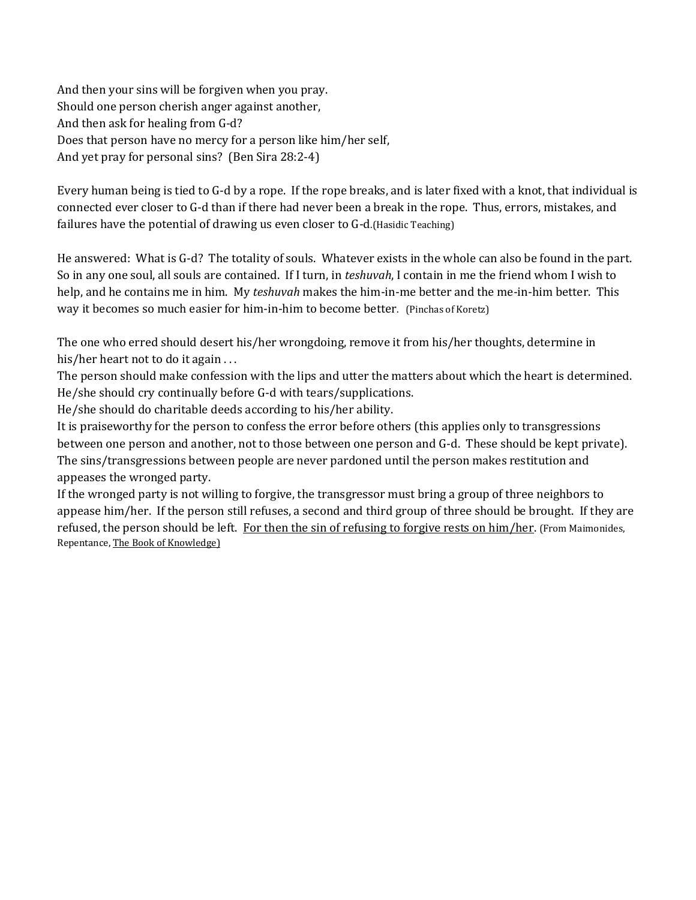And then your sins will be forgiven when you pray. Should one person cherish anger against another, And then ask for healing from G-d? Does that person have no mercy for a person like him/her self, And yet pray for personal sins? (Ben Sira 28:2-4)

Every human being is tied to G-d by a rope. If the rope breaks, and is later fixed with a knot, that individual is connected ever closer to G-d than if there had never been a break in the rope. Thus, errors, mistakes, and failures have the potential of drawing us even closer to G-d.(Hasidic Teaching)

He answered: What is G-d? The totality of souls. Whatever exists in the whole can also be found in the part. So in any one soul, all souls are contained. If I turn, in *teshuvah*, I contain in me the friend whom I wish to help, and he contains me in him. My *teshuvah* makes the him-in-me better and the me-in-him better. This way it becomes so much easier for him-in-him to become better. (Pinchas of Koretz)

The one who erred should desert his/her wrongdoing, remove it from his/her thoughts, determine in his/her heart not to do it again ...

The person should make confession with the lips and utter the matters about which the heart is determined. He/she should cry continually before G-d with tears/supplications.

He/she should do charitable deeds according to his/her ability.

It is praiseworthy for the person to confess the error before others (this applies only to transgressions between one person and another, not to those between one person and G-d. These should be kept private). The sins/transgressions between people are never pardoned until the person makes restitution and appeases the wronged party.

If the wronged party is not willing to forgive, the transgressor must bring a group of three neighbors to appease him/her. If the person still refuses, a second and third group of three should be brought. If they are refused, the person should be left. For then the sin of refusing to forgive rests on him/her. (From Maimonides, Repentance, The Book of Knowledge)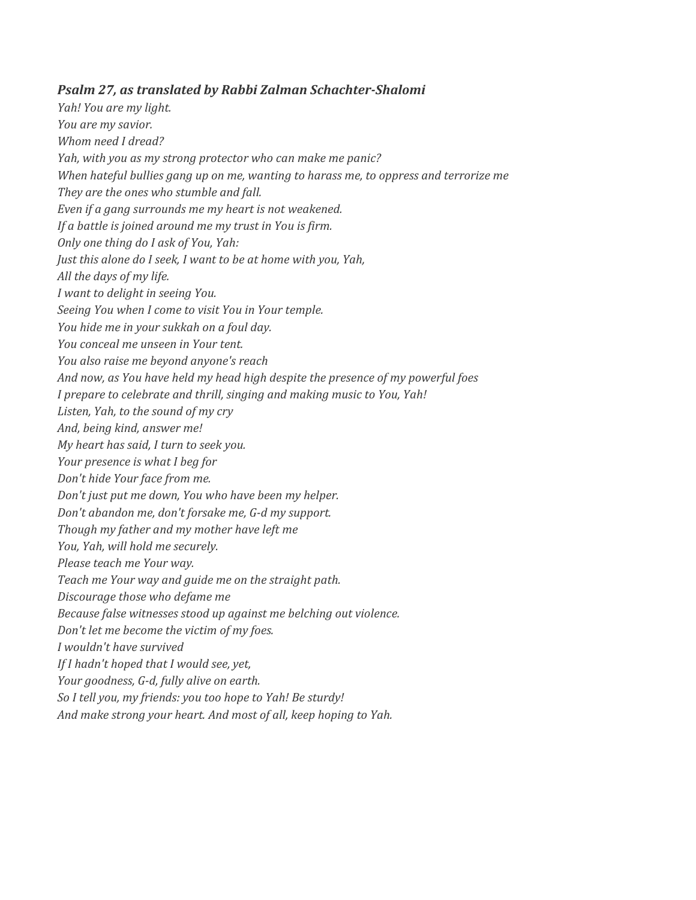#### *Psalm 27, as translated by Rabbi Zalman Schachter-Shalomi*

*Yah! You are my light. You are my savior. Whom need I dread? Yah, with you as my strong protector who can make me panic? When hateful bullies gang up on me, wanting to harass me, to oppress and terrorize me They are the ones who stumble and fall. Even if a gang surrounds me my heart is not weakened. If a battle is joined around me my trust in You is firm. Only one thing do I ask of You, Yah: Just this alone do I seek, I want to be at home with you, Yah, All the days of my life. I want to delight in seeing You. Seeing You when I come to visit You in Your temple. You hide me in your sukkah on a foul day. You conceal me unseen in Your tent. You also raise me beyond anyone's reach And now, as You have held my head high despite the presence of my powerful foes I prepare to celebrate and thrill, singing and making music to You, Yah! Listen, Yah, to the sound of my cry And, being kind, answer me! My heart has said, I turn to seek you. Your presence is what I beg for Don't hide Your face from me. Don't just put me down, You who have been my helper. Don't abandon me, don't forsake me, G-d my support. Though my father and my mother have left me You, Yah, will hold me securely. Please teach me Your way. Teach me Your way and guide me on the straight path. Discourage those who defame me Because false witnesses stood up against me belching out violence. Don't let me become the victim of my foes. I wouldn't have survived If I hadn't hoped that I would see, yet, Your goodness, G-d, fully alive on earth. So I tell you, my friends: you too hope to Yah! Be sturdy! And make strong your heart. And most of all, keep hoping to Yah.*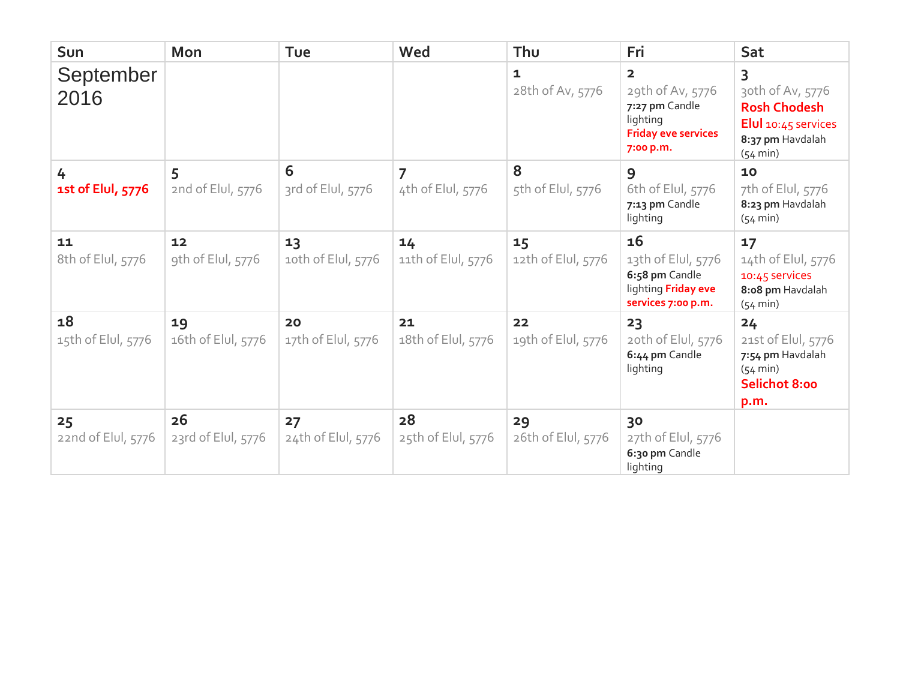| Sun                      | Mon                      | Tue                      | Wed                                 | Thu                      | Fri                                                                                                                  | Sat                                                                                                             |
|--------------------------|--------------------------|--------------------------|-------------------------------------|--------------------------|----------------------------------------------------------------------------------------------------------------------|-----------------------------------------------------------------------------------------------------------------|
| September<br>2016        |                          |                          |                                     | 1<br>28th of Av, 5776    | $\overline{\mathbf{2}}$<br>29th of Av, 5776<br>7:27 pm Candle<br>lighting<br><b>Friday eve services</b><br>7:00 p.m. | 3<br>30th of Av, 5776<br><b>Rosh Chodesh</b><br>Elul $10:45$ services<br>8:37 pm Havdalah<br>$(54 \text{ min})$ |
| 4<br>1st of Elul, 5776   | 5<br>2nd of Elul, 5776   | 6<br>3rd of Elul, 5776   | $\overline{7}$<br>4th of Elul, 5776 | 8<br>5th of Elul, 5776   | 9<br>6th of Elul, 5776<br>7:13 pm Candle<br>lighting                                                                 | 10<br>7th of Elul, 5776<br>8:23 pm Havdalah<br>$(54 \text{ min})$                                               |
| 11<br>8th of Elul, 5776  | 12<br>9th of Elul, 5776  | 13<br>10th of Elul, 5776 | 14<br>11th of Elul, 5776            | 15<br>12th of Elul, 5776 | 16<br>13th of Elul, 5776<br>6:58 pm Candle<br>lighting Friday eve<br>services 7:00 p.m.                              | 17<br>14th of Elul, 5776<br>10:45 services<br>8:08 pm Havdalah<br>$(54 \text{ min})$                            |
| 18<br>15th of Elul, 5776 | 19<br>16th of Elul, 5776 | 20<br>17th of Elul, 5776 | 21<br>18th of Elul, 5776            | 22<br>19th of Elul, 5776 | 23<br>20th of Elul, 5776<br>6:44 pm Candle<br>lighting                                                               | 24<br>21st of Elul, 5776<br>7:54 pm Havdalah<br>$(54 \text{ min})$<br><b>Selichot 8:00</b><br>p.m.              |
| 25<br>22nd of Elul, 5776 | 26<br>23rd of Elul, 5776 | 27<br>24th of Elul, 5776 | 28<br>25th of Elul, 5776            | 29<br>26th of Elul, 5776 | 30<br>27th of Elul, 5776<br>6:30 pm Candle<br>lighting                                                               |                                                                                                                 |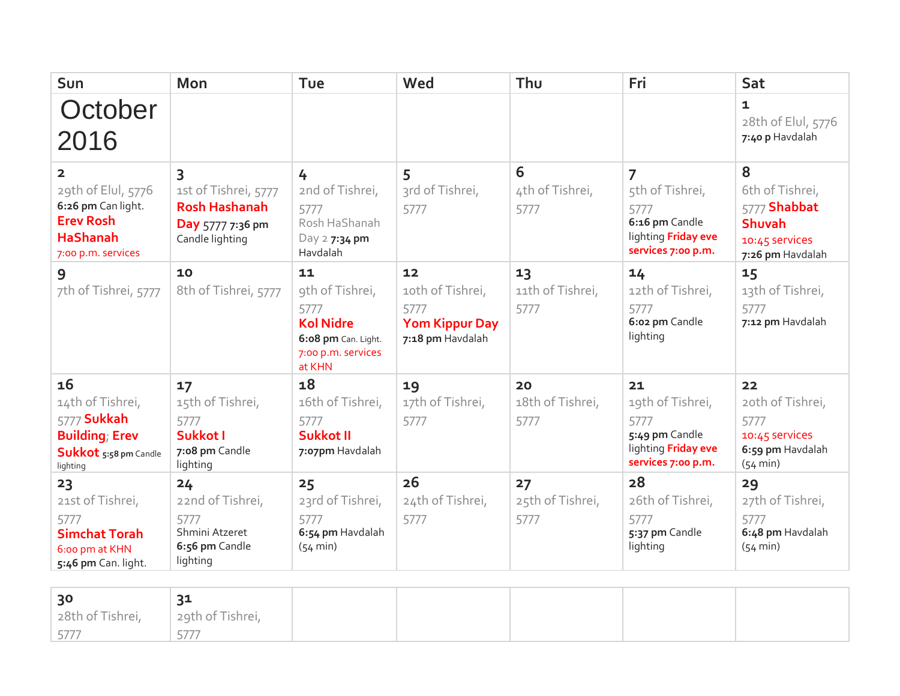| Sun                                                                                                                   | Mon                                                                                      | Tue                                                                                                      | Wed                                                                         | Thu                            | Fri                                                                                                      | Sat                                                                                         |
|-----------------------------------------------------------------------------------------------------------------------|------------------------------------------------------------------------------------------|----------------------------------------------------------------------------------------------------------|-----------------------------------------------------------------------------|--------------------------------|----------------------------------------------------------------------------------------------------------|---------------------------------------------------------------------------------------------|
| October<br>2016                                                                                                       |                                                                                          |                                                                                                          |                                                                             |                                |                                                                                                          | $\mathbf{1}$<br>28th of Elul, 5776<br>7:40 p Havdalah                                       |
| $\mathbf{2}$<br>29th of Elul, 5776<br>6:26 pm Can light.<br><b>Erev Rosh</b><br><b>HaShanah</b><br>7:00 p.m. services | 3<br>1st of Tishrei, 5777<br><b>Rosh Hashanah</b><br>Day 5777 7:36 pm<br>Candle lighting | 4<br>2nd of Tishrei,<br>5777<br>Rosh HaShanah<br>Day 2 7:34 pm<br>Havdalah                               | 5<br>3rd of Tishrei,<br>5777                                                | 6<br>4th of Tishrei,<br>5777   | $\overline{7}$<br>5th of Tishrei,<br>5777<br>6:16 pm Candle<br>lighting Friday eve<br>services 7:00 p.m. | 8<br>6th of Tishrei,<br>5777 Shabbat<br><b>Shuvah</b><br>10:45 services<br>7:26 pm Havdalah |
| 9<br>7th of Tishrei, 5777                                                                                             | 10<br>8th of Tishrei, 5777                                                               | 11<br>9th of Tishrei,<br>5777<br><b>Kol Nidre</b><br>6:08 pm Can. Light.<br>7:00 p.m. services<br>at KHN | 12<br>10th of Tishrei,<br>5777<br><b>Yom Kippur Day</b><br>7:18 pm Havdalah | 13<br>11th of Tishrei,<br>5777 | 14<br>12th of Tishrei,<br>5777<br>6:02 pm Candle<br>lighting                                             | 15<br>13th of Tishrei,<br>5777<br>7:12 pm Havdalah                                          |
| 16<br>14th of Tishrei,<br>5777 Sukkah<br><b>Building</b> ; Erev<br>Sukkot 5:58 pm Candle<br>lighting                  | 17<br>15th of Tishrei,<br>5777<br>Sukkot I<br>7:08 pm Candle<br>lighting                 | 18<br>16th of Tishrei,<br>5777<br><b>Sukkot II</b><br>7:07pm Havdalah                                    | 19<br>17th of Tishrei,<br>5777                                              | 20<br>18th of Tishrei,<br>5777 | 21<br>19th of Tishrei,<br>5777<br>5:49 pm Candle<br>lighting Friday eve<br>services 7:00 p.m.            | 22<br>20th of Tishrei,<br>5777<br>10:45 Services<br>6:59 pm Havdalah<br>$(54 \text{ min})$  |
| 23<br>21st of Tishrei,<br>5777<br><b>Simchat Torah</b><br>6:00 pm at KHN<br>5:46 pm Can. light.                       | 24<br>22nd of Tishrei,<br>5777<br>Shmini Atzeret<br>6:56 pm Candle<br>lighting           | 25<br>23rd of Tishrei,<br>5777<br>6:54 pm Havdalah<br>$(54 \text{ min})$                                 | 26<br>24th of Tishrei,<br>5777                                              | 27<br>25th of Tishrei,<br>5777 | 28<br>26th of Tishrei,<br>5777<br>5:37 pm Candle<br>lighting                                             | 29<br>27th of Tishrei,<br>5777<br>6:48 pm Havdalah<br>$(54 \text{ min})$                    |

| 30                                                | าฯ<br>54 |  |  |  |
|---------------------------------------------------|----------|--|--|--|
| $\vert$ 28th of Tishrei, $\vert$ 29th of Tishrei, |          |  |  |  |
| 577                                               | ----     |  |  |  |